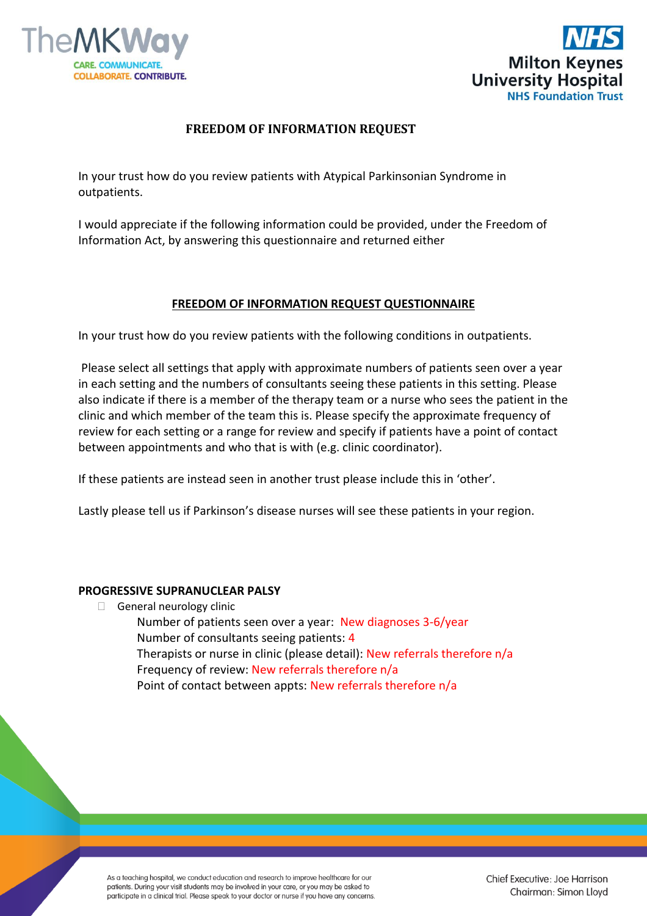



# **FREEDOM OF INFORMATION REQUEST**

In your trust how do you review patients with Atypical Parkinsonian Syndrome in outpatients.

I would appreciate if the following information could be provided, under the Freedom of Information Act, by answering this questionnaire and returned either

## **FREEDOM OF INFORMATION REQUEST QUESTIONNAIRE**

In your trust how do you review patients with the following conditions in outpatients.

Please select all settings that apply with approximate numbers of patients seen over a year in each setting and the numbers of consultants seeing these patients in this setting. Please also indicate if there is a member of the therapy team or a nurse who sees the patient in the clinic and which member of the team this is. Please specify the approximate frequency of review for each setting or a range for review and specify if patients have a point of contact between appointments and who that is with (e.g. clinic coordinator).

If these patients are instead seen in another trust please include this in 'other'.

Lastly please tell us if Parkinson's disease nurses will see these patients in your region.

### **PROGRESSIVE SUPRANUCLEAR PALSY**

General neurology clinic

Number of patients seen over a year: New diagnoses 3-6/year Number of consultants seeing patients: 4 Therapists or nurse in clinic (please detail): New referrals therefore n/a Frequency of review: New referrals therefore n/a Point of contact between appts: New referrals therefore n/a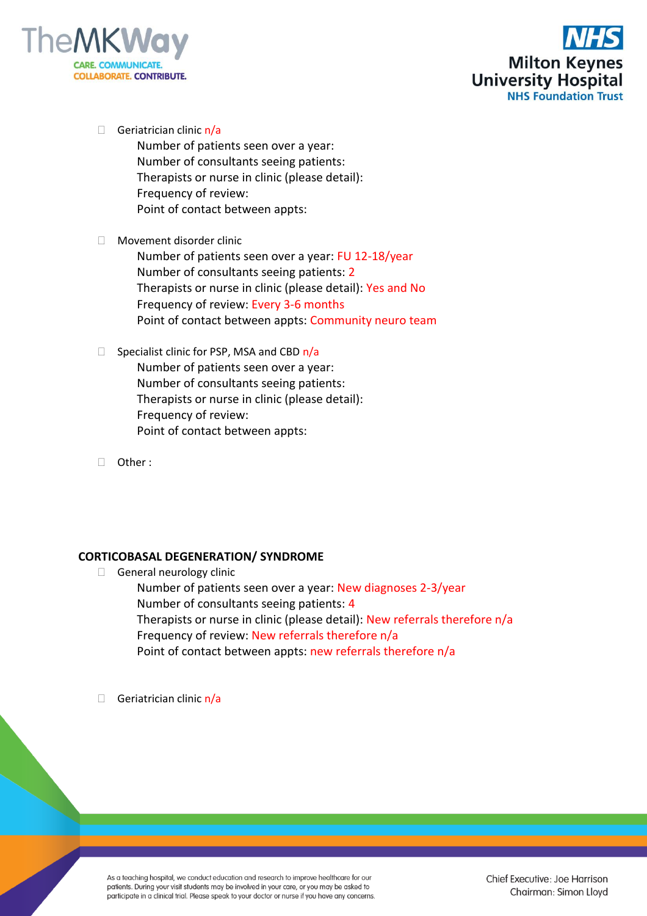



 $\Box$  Geriatrician clinic  $n/a$ 

Number of patients seen over a year: Number of consultants seeing patients: Therapists or nurse in clinic (please detail): Frequency of review: Point of contact between appts:

Movement disorder clinic

Number of patients seen over a year: FU 12-18/year Number of consultants seeing patients: 2 Therapists or nurse in clinic (please detail): Yes and No Frequency of review: Every 3-6 months Point of contact between appts: Community neuro team

- $\Box$  Specialist clinic for PSP, MSA and CBD  $n/a$ Number of patients seen over a year: Number of consultants seeing patients: Therapists or nurse in clinic (please detail): Frequency of review: Point of contact between appts:
- Other :

## **CORTICOBASAL DEGENERATION/ SYNDROME**

General neurology clinic

Number of patients seen over a year: New diagnoses 2-3/year Number of consultants seeing patients: 4 Therapists or nurse in clinic (please detail): New referrals therefore n/a Frequency of review: New referrals therefore n/a Point of contact between appts: new referrals therefore n/a

 $\Box$  Geriatrician clinic  $n/a$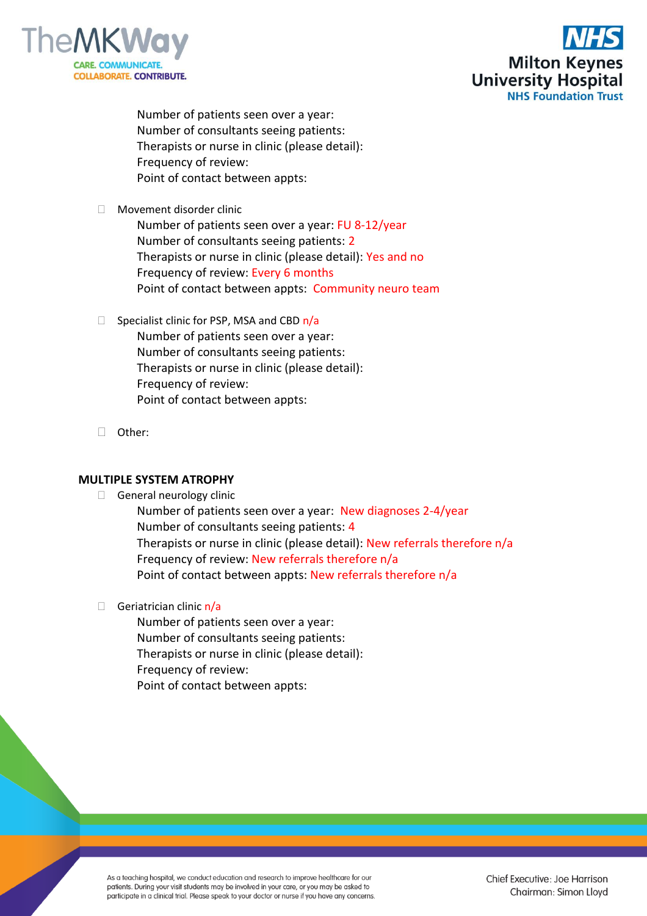



Number of patients seen over a year: Number of consultants seeing patients: Therapists or nurse in clinic (please detail): Frequency of review: Point of contact between appts:

□ Movement disorder clinic

Number of patients seen over a year: FU 8-12/year Number of consultants seeing patients: 2 Therapists or nurse in clinic (please detail): Yes and no Frequency of review: Every 6 months Point of contact between appts: Community neuro team

- $\Box$  Specialist clinic for PSP, MSA and CBD  $n/a$ Number of patients seen over a year: Number of consultants seeing patients: Therapists or nurse in clinic (please detail): Frequency of review: Point of contact between appts:
- Other:

### **MULTIPLE SYSTEM ATROPHY**

General neurology clinic

Number of patients seen over a year: New diagnoses 2-4/year Number of consultants seeing patients: 4 Therapists or nurse in clinic (please detail): New referrals therefore n/a Frequency of review: New referrals therefore n/a Point of contact between appts: New referrals therefore n/a

 $\Box$  Geriatrician clinic  $n/a$ 

Number of patients seen over a year: Number of consultants seeing patients: Therapists or nurse in clinic (please detail): Frequency of review: Point of contact between appts: